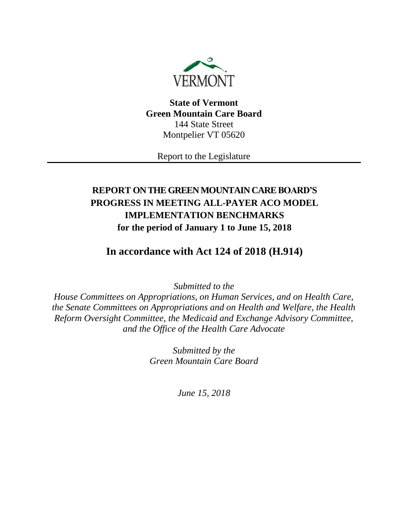

**State of Vermont Green Mountain Care Board** 144 State Street Montpelier VT 05620

Report to the Legislature

# **REPORT ON THE GREEN MOUNTAIN CARE BOARD'S PROGRESS IN MEETING ALL-PAYER ACO MODEL IMPLEMENTATION BENCHMARKS for the period of January 1 to June 15, 2018**

**In accordance with Act 124 of 2018 (H.914)**

*Submitted to the*

*House Committees on Appropriations, on Human Services, and on Health Care, the Senate Committees on Appropriations and on Health and Welfare, the Health Reform Oversight Committee, the Medicaid and Exchange Advisory Committee, and the Office of the Health Care Advocate*

> *Submitted by the Green Mountain Care Board*

> > *June 15, 2018*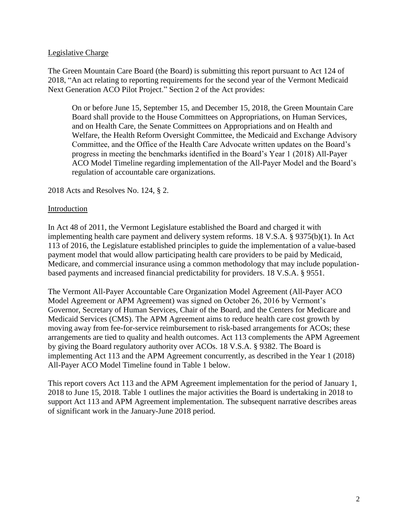#### Legislative Charge

The Green Mountain Care Board (the Board) is submitting this report pursuant to Act 124 of 2018, "An act relating to reporting requirements for the second year of the Vermont Medicaid Next Generation ACO Pilot Project." Section 2 of the Act provides:

On or before June 15, September 15, and December 15, 2018, the Green Mountain Care Board shall provide to the House Committees on Appropriations, on Human Services, and on Health Care, the Senate Committees on Appropriations and on Health and Welfare, the Health Reform Oversight Committee, the Medicaid and Exchange Advisory Committee, and the Office of the Health Care Advocate written updates on the Board's progress in meeting the benchmarks identified in the Board's Year 1 (2018) All-Payer ACO Model Timeline regarding implementation of the All-Payer Model and the Board's regulation of accountable care organizations.

#### 2018 Acts and Resolves No. 124, § 2.

#### Introduction

In Act 48 of 2011, the Vermont Legislature established the Board and charged it with implementing health care payment and delivery system reforms. 18 V.S.A. § 9375(b)(1). In Act 113 of 2016, the Legislature established principles to guide the implementation of a value-based payment model that would allow participating health care providers to be paid by Medicaid, Medicare, and commercial insurance using a common methodology that may include populationbased payments and increased financial predictability for providers. 18 V.S.A. § 9551.

The Vermont All-Payer Accountable Care Organization Model Agreement (All-Payer ACO Model Agreement or APM Agreement) was signed on October 26, 2016 by Vermont's Governor, Secretary of Human Services, Chair of the Board, and the Centers for Medicare and Medicaid Services (CMS). The APM Agreement aims to reduce health care cost growth by moving away from fee-for-service reimbursement to risk-based arrangements for ACOs; these arrangements are tied to quality and health outcomes. Act 113 complements the APM Agreement by giving the Board regulatory authority over ACOs. 18 V.S.A. § 9382. The Board is implementing Act 113 and the APM Agreement concurrently, as described in the Year 1 (2018) All-Payer ACO Model Timeline found in Table 1 below.

This report covers Act 113 and the APM Agreement implementation for the period of January 1, 2018 to June 15, 2018. Table 1 outlines the major activities the Board is undertaking in 2018 to support Act 113 and APM Agreement implementation. The subsequent narrative describes areas of significant work in the January-June 2018 period.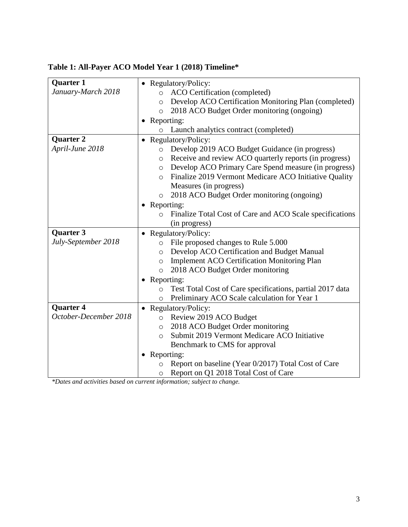# **Table 1: All-Payer ACO Model Year 1 (2018) Timeline\***

| <b>Quarter 1</b>      |              | • Regulatory/Policy:                                                                        |  |  |
|-----------------------|--------------|---------------------------------------------------------------------------------------------|--|--|
| January-March 2018    | $\circ$      | ACO Certification (completed)                                                               |  |  |
|                       | $\circ$      | Develop ACO Certification Monitoring Plan (completed)                                       |  |  |
|                       | $\circ$      | 2018 ACO Budget Order monitoring (ongoing)                                                  |  |  |
|                       |              | Reporting:                                                                                  |  |  |
|                       |              | Launch analytics contract (completed)                                                       |  |  |
| Quarter <sub>2</sub>  |              | • Regulatory/Policy:                                                                        |  |  |
| April-June 2018       | $\circ$      | Develop 2019 ACO Budget Guidance (in progress)                                              |  |  |
|                       | $\circ$      | Receive and review ACO quarterly reports (in progress)                                      |  |  |
|                       | $\circ$      | Develop ACO Primary Care Spend measure (in progress)                                        |  |  |
|                       | $\circ$      | Finalize 2019 Vermont Medicare ACO Initiative Quality                                       |  |  |
|                       |              | Measures (in progress)                                                                      |  |  |
|                       | $\circ$      | 2018 ACO Budget Order monitoring (ongoing)                                                  |  |  |
|                       | • Reporting: |                                                                                             |  |  |
|                       | O            | Finalize Total Cost of Care and ACO Scale specifications                                    |  |  |
|                       |              | (in progress)                                                                               |  |  |
|                       |              |                                                                                             |  |  |
| Quarter 3             |              | Regulatory/Policy:                                                                          |  |  |
| July-September 2018   | $\circ$      | File proposed changes to Rule 5.000                                                         |  |  |
|                       | $\circ$      | Develop ACO Certification and Budget Manual                                                 |  |  |
|                       | $\circ$      | <b>Implement ACO Certification Monitoring Plan</b>                                          |  |  |
|                       | $\circ$      | 2018 ACO Budget Order monitoring                                                            |  |  |
|                       | • Reporting: |                                                                                             |  |  |
|                       | $\circ$      | Test Total Cost of Care specifications, partial 2017 data                                   |  |  |
|                       | O            | Preliminary ACO Scale calculation for Year 1                                                |  |  |
| Quarter 4             |              | • Regulatory/Policy:                                                                        |  |  |
| October-December 2018 | $\circ$      | Review 2019 ACO Budget                                                                      |  |  |
|                       | $\circ$      | 2018 ACO Budget Order monitoring                                                            |  |  |
|                       | $\circ$      | Submit 2019 Vermont Medicare ACO Initiative                                                 |  |  |
|                       |              | Benchmark to CMS for approval                                                               |  |  |
|                       | Reporting:   |                                                                                             |  |  |
|                       | O            | Report on baseline (Year 0/2017) Total Cost of Care<br>Report on Q1 2018 Total Cost of Care |  |  |

*\*Dates and activities based on current information; subject to change.*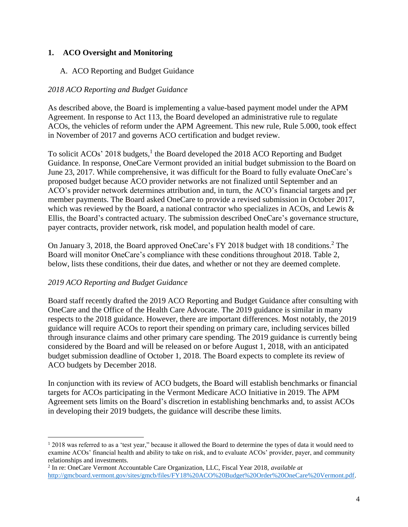### **1. ACO Oversight and Monitoring**

### A. ACO Reporting and Budget Guidance

### *2018 ACO Reporting and Budget Guidance*

As described above, the Board is implementing a value-based payment model under the APM Agreement. In response to Act 113, the Board developed an administrative rule to regulate ACOs, the vehicles of reform under the APM Agreement. This new rule, Rule 5.000, took effect in November of 2017 and governs ACO certification and budget review.

To solicit ACOs' 2018 budgets,<sup>1</sup> the Board developed the 2018 ACO Reporting and Budget Guidance. In response, OneCare Vermont provided an initial budget submission to the Board on June 23, 2017. While comprehensive, it was difficult for the Board to fully evaluate OneCare's proposed budget because ACO provider networks are not finalized until September and an ACO's provider network determines attribution and, in turn, the ACO's financial targets and per member payments. The Board asked OneCare to provide a revised submission in October 2017, which was reviewed by the Board, a national contractor who specializes in ACOs, and Lewis & Ellis, the Board's contracted actuary. The submission described OneCare's governance structure, payer contracts, provider network, risk model, and population health model of care.

On January 3, 2018, the Board approved OneCare's FY 2018 budget with 18 conditions.<sup>2</sup> The Board will monitor OneCare's compliance with these conditions throughout 2018. Table 2, below, lists these conditions, their due dates, and whether or not they are deemed complete.

#### *2019 ACO Reporting and Budget Guidance*

l

Board staff recently drafted the 2019 ACO Reporting and Budget Guidance after consulting with OneCare and the Office of the Health Care Advocate. The 2019 guidance is similar in many respects to the 2018 guidance. However, there are important differences. Most notably, the 2019 guidance will require ACOs to report their spending on primary care, including services billed through insurance claims and other primary care spending. The 2019 guidance is currently being considered by the Board and will be released on or before August 1, 2018, with an anticipated budget submission deadline of October 1, 2018. The Board expects to complete its review of ACO budgets by December 2018.

In conjunction with its review of ACO budgets, the Board will establish benchmarks or financial targets for ACOs participating in the Vermont Medicare ACO Initiative in 2019. The APM Agreement sets limits on the Board's discretion in establishing benchmarks and, to assist ACOs in developing their 2019 budgets, the guidance will describe these limits.

<sup>&</sup>lt;sup>1</sup> 2018 was referred to as a 'test year," because it allowed the Board to determine the types of data it would need to examine ACOs' financial health and ability to take on risk, and to evaluate ACOs' provider, payer, and community relationships and investments.

<sup>2</sup> In re: OneCare Vermont Accountable Care Organization, LLC, Fiscal Year 2018, *available at*  [http://gmcboard.vermont.gov/sites/gmcb/files/FY18%20ACO%20Budget%20Order%20OneCare%20Vermont.pdf.](http://gmcboard.vermont.gov/sites/gmcb/files/FY18%20ACO%20Budget%20Order%20OneCare%20Vermont.pdf)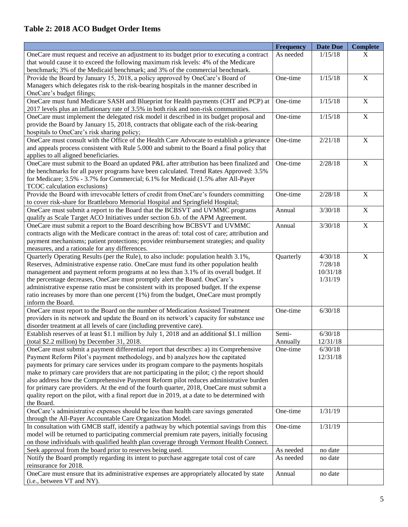## **Table 2: 2018 ACO Budget Order Items**

|                                                                                                                                                                         | <b>Frequency</b>  | <b>Date Due</b>     | Complete       |
|-------------------------------------------------------------------------------------------------------------------------------------------------------------------------|-------------------|---------------------|----------------|
| OneCare must request and receive an adjustment to its budget prior to executing a contract                                                                              | As needed         | 1/15/18             | X              |
| that would cause it to exceed the following maximum risk levels: 4% of the Medicare                                                                                     |                   |                     |                |
| benchmark; 3% of the Medicaid benchmark; and 3% of the commercial benchmark.                                                                                            |                   |                     |                |
| Provide the Board by January 15, 2018, a policy approved by OneCare's Board of                                                                                          | One-time          | 1/15/18             | $\overline{X}$ |
| Managers which delegates risk to the risk-bearing hospitals in the manner described in                                                                                  |                   |                     |                |
| OneCare's budget filings;                                                                                                                                               |                   |                     |                |
| OneCare must fund Medicare SASH and Blueprint for Health payments (CHT and PCP) at                                                                                      | One-time          | 1/15/18             | $\mathbf X$    |
| 2017 levels plus an inflationary rate of 3.5% in both risk and non-risk communities.                                                                                    |                   |                     |                |
| OneCare must implement the delegated risk model it described in its budget proposal and                                                                                 | One-time          | 1/15/18             | $\overline{X}$ |
| provide the Board by January 15, 2018, contracts that obligate each of the risk-bearing                                                                                 |                   |                     |                |
| hospitals to OneCare's risk sharing policy;                                                                                                                             |                   |                     |                |
| OneCare must consult with the Office of the Health Care Advocate to establish a grievance                                                                               | One-time          | 2/21/18             | $\mathbf X$    |
| and appeals process consistent with Rule 5.000 and submit to the Board a final policy that                                                                              |                   |                     |                |
| applies to all aligned beneficiaries.                                                                                                                                   |                   |                     |                |
| OneCare must submit to the Board an updated P&L after attribution has been finalized and                                                                                | One-time          | 2/28/18             | $\mathbf X$    |
| the benchmarks for all payer programs have been calculated. Trend Rates Approved: 3.5%                                                                                  |                   |                     |                |
| for Medicare; 3.5% - 3.7% for Commercial; 6.1% for Medicaid (1.5% after All-Payer                                                                                       |                   |                     |                |
| TCOC calculation exclusions)                                                                                                                                            |                   |                     |                |
| Provide the Board with irrevocable letters of credit from OneCare's founders committing                                                                                 | One-time          | 2/28/18             | $\mathbf X$    |
| to cover risk-share for Brattleboro Memorial Hospital and Springfield Hospital;                                                                                         |                   |                     |                |
| OneCare must submit a report to the Board that the BCBSVT and UVMMC programs                                                                                            | Annual            | 3/30/18             | $\mathbf X$    |
| qualify as Scale Target ACO Initiatives under section 6.b. of the APM Agreement.                                                                                        |                   |                     |                |
| OneCare must submit a report to the Board describing how BCBSVT and UVMMC                                                                                               | Annual            | 3/30/18             | $\mathbf X$    |
| contracts align with the Medicare contract in the areas of: total cost of care; attribution and                                                                         |                   |                     |                |
| payment mechanisms; patient protections; provider reimbursement strategies; and quality                                                                                 |                   |                     |                |
| measures, and a rationale for any differences.                                                                                                                          |                   |                     |                |
| Quarterly Operating Results (per the Rule), to also include: population health 3.1%,                                                                                    | Quarterly         | 4/30/18             | $\mathbf X$    |
| Reserves, Administrative expense ratio. OneCare must fund its other population health                                                                                   |                   | 7/28/18             |                |
| management and payment reform programs at no less than 3.1% of its overall budget. If                                                                                   |                   | 10/31/18            |                |
| the percentage decreases, OneCare must promptly alert the Board. OneCare's                                                                                              |                   | 1/31/19             |                |
| administrative expense ratio must be consistent with its proposed budget. If the expense                                                                                |                   |                     |                |
| ratio increases by more than one percent (1%) from the budget, OneCare must promptly                                                                                    |                   |                     |                |
| inform the Board.                                                                                                                                                       |                   |                     |                |
| OneCare must report to the Board on the number of Medication Assisted Treatment                                                                                         | One-time          | 6/30/18             |                |
| providers in its network and update the Board on its network's capacity for substance use                                                                               |                   |                     |                |
| disorder treatment at all levels of care (including preventive care).                                                                                                   |                   |                     |                |
| Establish reserves of at least \$1.1 million by July 1, 2018 and an additional \$1.1 million<br>(total \$2.2 million) by December 31, 2018.                             | Semi-<br>Annually | 6/30/18<br>12/31/18 |                |
|                                                                                                                                                                         |                   | 6/30/18             |                |
| OneCare must submit a payment differential report that describes: a) its Comprehensive<br>Payment Reform Pilot's payment methodology, and b) analyzes how the capitated | One-time          | 12/31/18            |                |
| payments for primary care services under its program compare to the payments hospitals                                                                                  |                   |                     |                |
| make to primary care providers that are not participating in the pilot; c) the report should                                                                            |                   |                     |                |
| also address how the Comprehensive Payment Reform pilot reduces administrative burden                                                                                   |                   |                     |                |
| for primary care providers. At the end of the fourth quarter, 2018, OneCare must submit a                                                                               |                   |                     |                |
| quality report on the pilot, with a final report due in 2019, at a date to be determined with                                                                           |                   |                     |                |
| the Board.                                                                                                                                                              |                   |                     |                |
| OneCare's administrative expenses should be less than health care savings generated                                                                                     | One-time          | 1/31/19             |                |
| through the All-Payer Accountable Care Organization Model.                                                                                                              |                   |                     |                |
| In consultation with GMCB staff, identify a pathway by which potential savings from this                                                                                | One-time          | 1/31/19             |                |
| model will be returned to participating commercial premium rate payers, initially focusing                                                                              |                   |                     |                |
| on those individuals with qualified health plan coverage through Vermont Health Connect.                                                                                |                   |                     |                |
| Seek approval from the board prior to reserves being used.                                                                                                              | As needed         | no date             |                |
| Notify the Board promptly regarding its intent to purchase aggregate total cost of care                                                                                 | As needed         | no date             |                |
| reinsurance for 2018.                                                                                                                                                   |                   |                     |                |
| OneCare must ensure that its administrative expenses are appropriately allocated by state                                                                               | Annual            | no date             |                |
| (i.e., between VT and NY).                                                                                                                                              |                   |                     |                |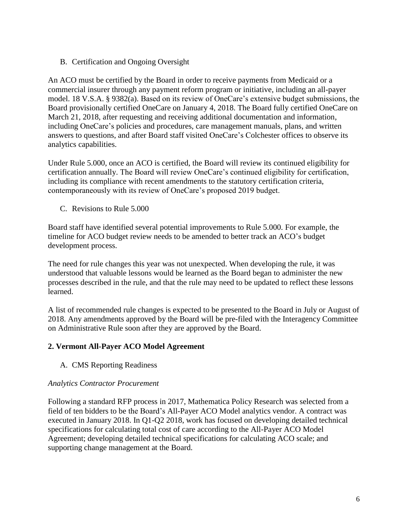B. Certification and Ongoing Oversight

An ACO must be certified by the Board in order to receive payments from Medicaid or a commercial insurer through any payment reform program or initiative, including an all-payer model. 18 V.S.A. § 9382(a). Based on its review of OneCare's extensive budget submissions, the Board provisionally certified OneCare on January 4, 2018. The Board fully certified OneCare on March 21, 2018, after requesting and receiving additional documentation and information, including OneCare's policies and procedures, care management manuals, plans, and written answers to questions, and after Board staff visited OneCare's Colchester offices to observe its analytics capabilities.

Under Rule 5.000, once an ACO is certified, the Board will review its continued eligibility for certification annually. The Board will review OneCare's continued eligibility for certification, including its compliance with recent amendments to the statutory certification criteria, contemporaneously with its review of OneCare's proposed 2019 budget.

C. Revisions to Rule 5.000

Board staff have identified several potential improvements to Rule 5.000. For example, the timeline for ACO budget review needs to be amended to better track an ACO's budget development process.

The need for rule changes this year was not unexpected. When developing the rule, it was understood that valuable lessons would be learned as the Board began to administer the new processes described in the rule, and that the rule may need to be updated to reflect these lessons learned.

A list of recommended rule changes is expected to be presented to the Board in July or August of 2018. Any amendments approved by the Board will be pre-filed with the Interagency Committee on Administrative Rule soon after they are approved by the Board.

#### **2. Vermont All-Payer ACO Model Agreement**

A. CMS Reporting Readiness

#### *Analytics Contractor Procurement*

Following a standard RFP process in 2017, Mathematica Policy Research was selected from a field of ten bidders to be the Board's All-Payer ACO Model analytics vendor. A contract was executed in January 2018. In Q1-Q2 2018, work has focused on developing detailed technical specifications for calculating total cost of care according to the All-Payer ACO Model Agreement; developing detailed technical specifications for calculating ACO scale; and supporting change management at the Board.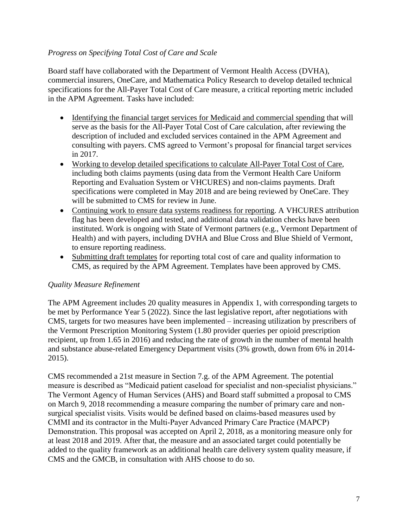#### *Progress on Specifying Total Cost of Care and Scale*

Board staff have collaborated with the Department of Vermont Health Access (DVHA), commercial insurers, OneCare, and Mathematica Policy Research to develop detailed technical specifications for the All-Payer Total Cost of Care measure, a critical reporting metric included in the APM Agreement. Tasks have included:

- Identifying the financial target services for Medicaid and commercial spending that will serve as the basis for the All-Payer Total Cost of Care calculation, after reviewing the description of included and excluded services contained in the APM Agreement and consulting with payers. CMS agreed to Vermont's proposal for financial target services in 2017.
- Working to develop detailed specifications to calculate All-Payer Total Cost of Care, including both claims payments (using data from the Vermont Health Care Uniform Reporting and Evaluation System or VHCURES) and non-claims payments. Draft specifications were completed in May 2018 and are being reviewed by OneCare. They will be submitted to CMS for review in June.
- Continuing work to ensure data systems readiness for reporting. A VHCURES attribution flag has been developed and tested, and additional data validation checks have been instituted. Work is ongoing with State of Vermont partners (e.g., Vermont Department of Health) and with payers, including DVHA and Blue Cross and Blue Shield of Vermont, to ensure reporting readiness.
- Submitting draft templates for reporting total cost of care and quality information to CMS, as required by the APM Agreement. Templates have been approved by CMS.

#### *Quality Measure Refinement*

The APM Agreement includes 20 quality measures in Appendix 1, with corresponding targets to be met by Performance Year 5 (2022). Since the last legislative report, after negotiations with CMS, targets for two measures have been implemented – increasing utilization by prescribers of the Vermont Prescription Monitoring System (1.80 provider queries per opioid prescription recipient, up from 1.65 in 2016) and reducing the rate of growth in the number of mental health and substance abuse-related Emergency Department visits (3% growth, down from 6% in 2014- 2015).

CMS recommended a 21st measure in Section 7.g. of the APM Agreement. The potential measure is described as "Medicaid patient caseload for specialist and non-specialist physicians." The Vermont Agency of Human Services (AHS) and Board staff submitted a proposal to CMS on March 9, 2018 recommending a measure comparing the number of primary care and nonsurgical specialist visits. Visits would be defined based on claims-based measures used by CMMI and its contractor in the Multi-Payer Advanced Primary Care Practice (MAPCP) Demonstration. This proposal was accepted on April 2, 2018, as a monitoring measure only for at least 2018 and 2019. After that, the measure and an associated target could potentially be added to the quality framework as an additional health care delivery system quality measure, if CMS and the GMCB, in consultation with AHS choose to do so.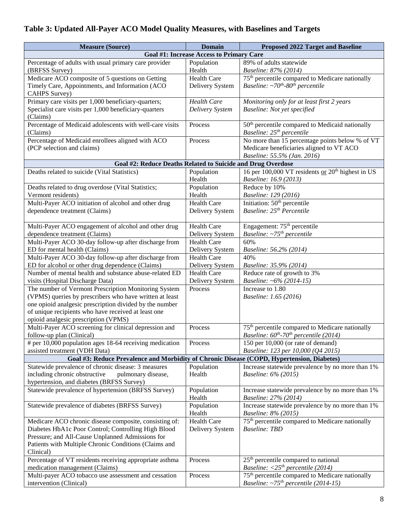# **Table 3: Updated All-Payer ACO Model Quality Measures, with Baselines and Targets**

| <b>Measure (Source)</b>                                                                                                                                                                                             | <b>Domain</b>      | <b>Proposed 2022 Target and Baseline</b>                                                      |  |  |  |  |
|---------------------------------------------------------------------------------------------------------------------------------------------------------------------------------------------------------------------|--------------------|-----------------------------------------------------------------------------------------------|--|--|--|--|
| <b>Goal #1: Increase Access to Primary Care</b>                                                                                                                                                                     |                    |                                                                                               |  |  |  |  |
| Percentage of adults with usual primary care provider                                                                                                                                                               | Population         | 89% of adults statewide                                                                       |  |  |  |  |
| (BRFSS Survey)                                                                                                                                                                                                      | Health             | Baseline: 87% (2014)                                                                          |  |  |  |  |
| Medicare ACO composite of 5 questions on Getting                                                                                                                                                                    | <b>Health Care</b> | 75 <sup>th</sup> percentile compared to Medicare nationally                                   |  |  |  |  |
| Timely Care, Appointments, and Information (ACO                                                                                                                                                                     | Delivery System    | Baseline: $\sim$ 70 <sup>th</sup> -80 <sup>th</sup> percentile                                |  |  |  |  |
| CAHPS Survey)                                                                                                                                                                                                       |                    |                                                                                               |  |  |  |  |
| Primary care visits per 1,000 beneficiary-quarters;                                                                                                                                                                 | <b>Health Care</b> | Monitoring only for at least first 2 years                                                    |  |  |  |  |
| Specialist care visits per 1,000 beneficiary-quarters                                                                                                                                                               | Delivery System    | Baseline: Not yet specified                                                                   |  |  |  |  |
| (Claims)                                                                                                                                                                                                            |                    |                                                                                               |  |  |  |  |
| Percentage of Medicaid adolescents with well-care visits                                                                                                                                                            | Process            | 50 <sup>th</sup> percentile compared to Medicaid nationally                                   |  |  |  |  |
| (Claims)                                                                                                                                                                                                            |                    | Baseline: 25 <sup>th</sup> percentile                                                         |  |  |  |  |
| Percentage of Medicaid enrollees aligned with ACO                                                                                                                                                                   | Process            | No more than 15 percentage points below $\frac{6}{9}$ of VT                                   |  |  |  |  |
| (PCP selection and claims)                                                                                                                                                                                          |                    | Medicare beneficiaries aligned to VT ACO                                                      |  |  |  |  |
| Goal #2: Reduce Deaths Related to Suicide and Drug Overdose                                                                                                                                                         |                    | Baseline: 55.5% (Jan. 2016)                                                                   |  |  |  |  |
| Deaths related to suicide (Vital Statistics)                                                                                                                                                                        | Population         | 16 per 100,000 VT residents or 20 <sup>th</sup> highest in US                                 |  |  |  |  |
|                                                                                                                                                                                                                     | Health             | Baseline: 16.9 (2013)                                                                         |  |  |  |  |
| Deaths related to drug overdose (Vital Statistics;                                                                                                                                                                  | Population         | Reduce by 10%                                                                                 |  |  |  |  |
| Vermont residents)                                                                                                                                                                                                  | Health             | Baseline: 129 (2016)                                                                          |  |  |  |  |
| Multi-Payer ACO initiation of alcohol and other drug                                                                                                                                                                | <b>Health Care</b> | Initiation: 50 <sup>th</sup> percentile                                                       |  |  |  |  |
| dependence treatment (Claims)                                                                                                                                                                                       | Delivery System    | Baseline: 25 <sup>th</sup> Percentile                                                         |  |  |  |  |
|                                                                                                                                                                                                                     |                    |                                                                                               |  |  |  |  |
| Multi-Payer ACO engagement of alcohol and other drug                                                                                                                                                                | <b>Health Care</b> | Engagement: 75 <sup>th</sup> percentile                                                       |  |  |  |  |
| dependence treatment (Claims)                                                                                                                                                                                       | Delivery System    | Baseline: $\sim 75$ <sup>th</sup> percentile                                                  |  |  |  |  |
| Multi-Payer ACO 30-day follow-up after discharge from                                                                                                                                                               | <b>Health Care</b> | 60%                                                                                           |  |  |  |  |
| ED for mental health (Claims)                                                                                                                                                                                       | Delivery System    | Baseline: 56.2% (2014)                                                                        |  |  |  |  |
| Multi-Payer ACO 30-day follow-up after discharge from                                                                                                                                                               | <b>Health Care</b> | 40%                                                                                           |  |  |  |  |
| ED for alcohol or other drug dependence (Claims)                                                                                                                                                                    | Delivery System    | Baseline: 35.9% (2014)                                                                        |  |  |  |  |
| Number of mental health and substance abuse-related ED                                                                                                                                                              | <b>Health Care</b> | Reduce rate of growth to 3%                                                                   |  |  |  |  |
| visits (Hospital Discharge Data)                                                                                                                                                                                    | Delivery System    | Baseline: ~6% (2014-15)                                                                       |  |  |  |  |
| The number of Vermont Prescription Monitoring System                                                                                                                                                                | Process            | Increase to 1.80                                                                              |  |  |  |  |
| (VPMS) queries by prescribers who have written at least                                                                                                                                                             |                    | Baseline: 1.65 (2016)                                                                         |  |  |  |  |
| one opioid analgesic prescription divided by the number                                                                                                                                                             |                    |                                                                                               |  |  |  |  |
| of unique recipients who have received at least one                                                                                                                                                                 |                    |                                                                                               |  |  |  |  |
| opioid analgesic prescription (VPMS)<br>Multi-Payer ACO screening for clinical depression and                                                                                                                       |                    |                                                                                               |  |  |  |  |
| follow-up plan (Clinical)                                                                                                                                                                                           | Process            | 75 <sup>th</sup> percentile compared to Medicare nationally                                   |  |  |  |  |
| # per 10,000 population ages 18-64 receiving medication                                                                                                                                                             | Process            | Baseline: $60^{th}$ -70 <sup>th</sup> percentile (2014)<br>150 per 10,000 (or rate of demand) |  |  |  |  |
| assisted treatment (VDH Data)                                                                                                                                                                                       |                    | Baseline: 123 per 10,000 (Q4 2015)                                                            |  |  |  |  |
|                                                                                                                                                                                                                     |                    |                                                                                               |  |  |  |  |
| Goal #3: Reduce Prevalence and Morbidity of Chronic Disease (COPD, Hypertension, Diabetes)<br>Increase statewide prevalence by no more than 1%<br>Statewide prevalence of chronic disease: 3 measures<br>Population |                    |                                                                                               |  |  |  |  |
| including chronic obstructive<br>pulmonary disease,                                                                                                                                                                 | Health             | Baseline: 6% (2015)                                                                           |  |  |  |  |
| hypertension, and diabetes (BRFSS Survey)                                                                                                                                                                           |                    |                                                                                               |  |  |  |  |
| Statewide prevalence of hypertension (BRFSS Survey)                                                                                                                                                                 | Population         | Increase statewide prevalence by no more than 1%                                              |  |  |  |  |
|                                                                                                                                                                                                                     | Health             | Baseline: 27% (2014)                                                                          |  |  |  |  |
| Statewide prevalence of diabetes (BRFSS Survey)                                                                                                                                                                     | Population         | Increase statewide prevalence by no more than 1%                                              |  |  |  |  |
|                                                                                                                                                                                                                     | Health             | Baseline: 8% (2015)                                                                           |  |  |  |  |
| Medicare ACO chronic disease composite, consisting of:                                                                                                                                                              | <b>Health Care</b> | 75 <sup>th</sup> percentile compared to Medicare nationally                                   |  |  |  |  |
| Diabetes HbA1c Poor Control; Controlling High Blood                                                                                                                                                                 | Delivery System    | <b>Baseline: TBD</b>                                                                          |  |  |  |  |
| Pressure; and All-Cause Unplanned Admissions for                                                                                                                                                                    |                    |                                                                                               |  |  |  |  |
| Patients with Multiple Chronic Conditions (Claims and                                                                                                                                                               |                    |                                                                                               |  |  |  |  |
| Clinical)                                                                                                                                                                                                           |                    |                                                                                               |  |  |  |  |
| Percentage of VT residents receiving appropriate asthma                                                                                                                                                             | Process            | 25 <sup>th</sup> percentile compared to national                                              |  |  |  |  |
| medication management (Claims)                                                                                                                                                                                      |                    | <i>Baseline:</i> $\langle 25^{th}$ <i>percentile</i> (2014)                                   |  |  |  |  |
| Multi-payer ACO tobacco use assessment and cessation                                                                                                                                                                | Process            | 75 <sup>th</sup> percentile compared to Medicare nationally                                   |  |  |  |  |
| intervention (Clinical)                                                                                                                                                                                             |                    | Baseline: $\sim$ 75 <sup>th</sup> percentile (2014-15)                                        |  |  |  |  |